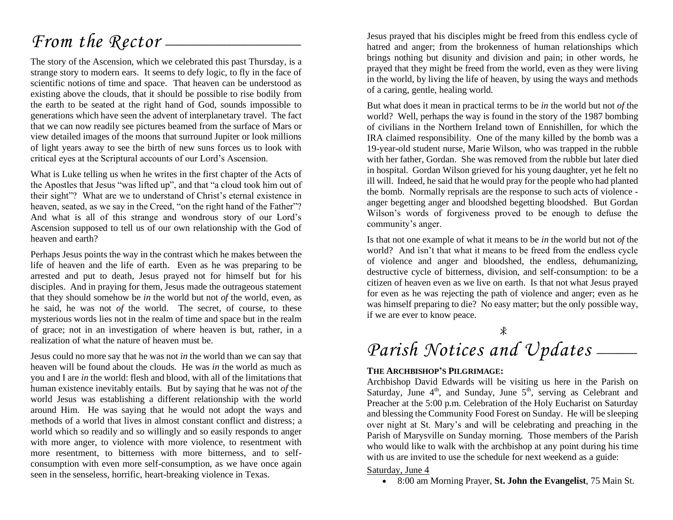## *From the Rector* —

The story of the Ascension, which we celebrated this past Thursday, is a strange story to modern ears. It seems to defy logic, to fly in the face of scientific notions of time and space. That heaven can be understood as existing above the clouds, that it should be possible to rise bodily from the earth to be seated at the right hand of God, sounds impossible to generations which have seen the advent of interplanetary travel. The fact that we can now readily see pictures beamed from the surface of Mars or view detailed images of the moons that surround Jupiter or look millions of light years away to see the birth of new suns forces us to look with critical eyes at the Scriptural accounts of our Lord's Ascension.

What is Luke telling us when he writes in the first chapter of the Acts of the Apostles that Jesus "was lifted up", and that "a cloud took him out of their sight"? What are we to understand of Christ's eternal existence in heaven, seated, as we say in the Creed, "on the right hand of the Father"? And what is all of this strange and wondrous story of our Lord's Ascension supposed to tell us of our own relationship with the God of heaven and earth?

Perhaps Jesus points the way in the contrast which he makes between the life of heaven and the life of earth. Even as he was preparing to be arrested and put to death, Jesus prayed not for himself but for his disciples. And in praying for them, Jesus made the outrageous statement that they should somehow be *in* the world but not *of* the world, even, as he said, he was not *of* the world. The secret, of course, to these mysterious words lies not in the realm of time and space but in the realm of grace; not in an investigation of where heaven is but, rather, in a realization of what the nature of heaven must be.

Jesus could no more say that he was not *in* the world than we can say that heaven will be found about the clouds. He was *in* the world as much as you and I are *in* the world: flesh and blood, with all of the limitations that human existence inevitably entails. But by saying that he was not *of* the world Jesus was establishing a different relationship with the world around Him. He was saying that he would not adopt the ways and methods of a world that lives in almost constant conflict and distress; a world which so readily and so willingly and so easily responds to anger with more anger, to violence with more violence, to resentment with more resentment, to bitterness with more bitterness, and to selfconsumption with even more self-consumption, as we have once again seen in the senseless, horrific, heart-breaking violence in Texas.

Jesus prayed that his disciples might be freed from this endless cycle of hatred and anger; from the brokenness of human relationships which brings nothing but disunity and division and pain; in other words, he prayed that they might be freed from the world, even as they were living in the world, by living the life of heaven, by using the ways and methods of a caring, gentle, healing world.

But what does it mean in practical terms to be *in* the world but not *of* the world? Well, perhaps the way is found in the story of the 1987 bombing of civilians in the Northern Ireland town of Ennishillen, for which the IRA claimed responsibility. One of the many killed by the bomb was a 19-year-old student nurse, Marie Wilson, who was trapped in the rubble with her father, Gordan. She was removed from the rubble but later died in hospital. Gordan Wilson grieved for his young daughter, yet he felt no ill will. Indeed, he said that he would pray for the people who had planted the bomb. Normally reprisals are the response to such acts of violence anger begetting anger and bloodshed begetting bloodshed. But Gordan Wilson's words of forgiveness proved to be enough to defuse the community's anger.

Is that not one example of what it means to be *in* the world but not *of* the world? And isn't that what it means to be freed from the endless cycle of violence and anger and bloodshed, the endless, dehumanizing, destructive cycle of bitterness, division, and self-consumption: to be a citizen of heaven even as we live on earth. Is that not what Jesus prayed for even as he was rejecting the path of violence and anger; even as he was himself preparing to die? No easy matter; but the only possible way, if we are ever to know peace.

Å

## Parish Notices and Updates -

#### **THE ARCHBISHOP'S PILGRIMAGE:**

Archbishop David Edwards will be visiting us here in the Parish on Saturday, June  $4<sup>th</sup>$ , and Sunday, June  $5<sup>th</sup>$ , serving as Celebrant and Preacher at the 5:00 p.m. Celebration of the Holy Eucharist on Saturday and blessing the Community Food Forest on Sunday. He will be sleeping over night at St. Mary's and will be celebrating and preaching in the Parish of Marysville on Sunday morning. Those members of the Parish who would like to walk with the archbishop at any point during his time with us are invited to use the schedule for next weekend as a guide:

[Saturday, June 4](https://nb.anglican.ca/the-bishop/bishops-pilgrimage/pages/2022-route-details#collapse64)

• 8:00 am Morning Prayer, **St. John the Evangelist**, 75 Main St.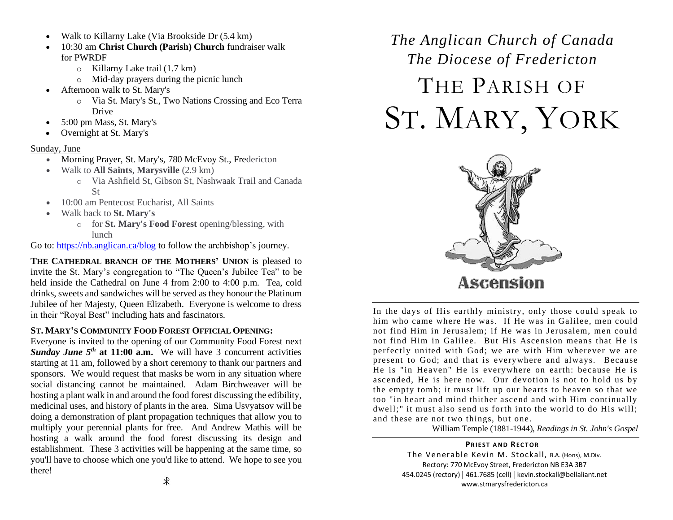- Walk to Killarny Lake (Via Brookside Dr (5.4 km)
- 10:30 am **Christ Church (Parish) Church** fundraiser walk for PWRDF
	- o Killarny Lake trail (1.7 km)
	- o Mid-day prayers during the picnic lunch
- Afternoon walk to St. Mary's
	- o Via St. Mary's St., Two Nations Crossing and Eco Terra Drive
- 5:00 pm Mass, St. Mary's
- Overnight at St. Mary's

#### [Sunday, June](https://nb.anglican.ca/the-bishop/bishops-pilgrimage/pages/2022-route-details#collapse64)

- Morning Prayer, St. Mary's, 780 McEvoy St., Fredericton
- Walk to **All Saints**, **Marysville** (2.9 km)
	- o Via Ashfield St, Gibson St, Nashwaak Trail and Canada St
- 10:00 am Pentecost Eucharist, All Saints
- Walk back to **St. Mary's**
	- o for **St. Mary's Food Forest** opening/blessing, with lunch

Go to[: https://nb.anglican.ca/blog](https://nb.anglican.ca/blog) to follow the archbishop's journey.

**THE CATHEDRAL BRANCH OF THE MOTHERS' UNION** is pleased to invite the St. Mary's congregation to "The Queen's Jubilee Tea" to be held inside the Cathedral on June 4 from 2:00 to 4:00 p.m. Tea, cold drinks, sweets and sandwiches will be served as they honour the Platinum Jubilee of her Majesty, Queen Elizabeth. Everyone is welcome to dress in their "Royal Best" including hats and fascinators.

#### **ST. MARY'S COMMUNITY FOOD FOREST OFFICIAL OPENING:**

Everyone is invited to the opening of our Community Food Forest next *Sunday June 5th* **at 11:00 a.m.** We will have 3 concurrent activities starting at 11 am, followed by a short ceremony to thank our partners and sponsors. We would request that masks be worn in any situation where social distancing cannot be maintained. Adam Birchweaver will be hosting a plant walk in and around the food forest discussing the edibility, medicinal uses, and history of plants in the area. Sima Usvyatsov will be doing a demonstration of plant propagation techniques that allow you to multiply your perennial plants for free. And Andrew Mathis will be hosting a walk around the food forest discussing its design and establishment. These 3 activities will be happening at the same time, so you'll have to choose which one you'd like to attend. We hope to see you there!

# *The Anglican Church of Canada The Diocese of Fredericton* THE PARISH OF ST. MARY, YORK



In the days of His earthly ministry, only those could speak to him who came where He was. If He was in Galilee, men could not find Him in Jerusalem; if He was in Jerusalem, men could not find Him in Galilee. But His Ascension means that He is perfectly united with God; we are with Him wherever we are present to God; and that is everywhere and always. Because He is "in Heaven" He is everywhere on earth: because He is ascended, He is here now. Our devotion is not to hold us by the empty tomb; it must lift up our hearts to heaven so that we too "in heart and mind thither ascend and with Him continually dwell;" it must also send us forth into the world to do His will; and these are not two things, but one.

William Temple (1881-1944), *Readings in St. John's Gospel*

**PRIEST AND RECTOR** 

The Venerable Kevin M. Stockall, B.A. (Hons), M.Div. Rectory: 770 McEvoy Street, Fredericton NB E3A 3B7 454.0245 (rectory) | 461.7685 (cell) | kevin.stockall@bellaliant.net www.stmarysfredericton.ca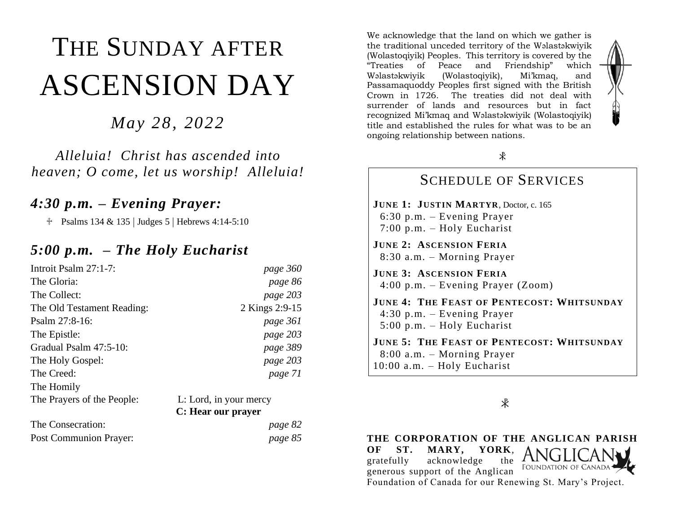# THE SUNDAY AFTER ASCENSION DAY

*May 28, 2022*

*Alleluia! Christ has ascended into heaven; O come, let us worship! Alleluia!*

### *4:30 p.m. – Evening Prayer:*

 $\text{\textdegree}$  Psalms 134 & 135 | Judges 5 | Hebrews 4:14-5:10

## *5:00 p.m. – The Holy Eucharist*

| Introit Psalm 27:1-7:      | page 360               |
|----------------------------|------------------------|
| The Gloria:                | page 86                |
| The Collect:               | page 203               |
| The Old Testament Reading: | 2 Kings 2:9-15         |
| Psalm $27:8-16$ :          | page 361               |
| The Epistle:               | page 203               |
| Gradual Psalm 47:5-10:     | page 389               |
| The Holy Gospel:           | page 203               |
| The Creed:                 | page 71                |
| The Homily                 |                        |
| The Prayers of the People: | L: Lord, in your mercy |
|                            | C: Hear our prayer     |
|                            | $\sim$                 |

The Consecration: *page 82* Post Communion Prayer: *page 85*

We acknowledge that the land on which we gather is the traditional unceded territory of the Wəlastəkwiyik (Wolastoqiyik) Peoples. This territory is covered by the "Treaties of Peace and Friendship" which Wəlastəkwiyik (Wolastoqiyik), Mi'kmaq, and Passamaquoddy Peoples first signed with the British Crown in 1726. The treaties did not deal with surrender of lands and resources but in fact recognized Mi'kmaq and Wəlastəkwiyik (Wolastoqiyik) title and established the rules for what was to be an ongoing relationship between nations.



### SCHEDULE OF SERVICES **JUNE 1: JUSTIN MARTYR**, Doctor, c. 165 6:30 p.m. – Evening Prayer 7:00 p.m. – Holy Eucharist **JUNE 2: ASCENSION FERIA** 8:30 a.m. – Morning Prayer **JUNE 3: ASCENSION FERIA** 4:00 p.m. – Evening Prayer (Zoom) **JUNE 4: THE FEAST OF PENTECOST: WHITSUNDAY** 4:30 p.m. – Evening Prayer 5:00 p.m. – Holy Eucharist **JUNE 5: THE FEAST OF PENTECOST: WHITSUNDAY** 8:00 a.m. – Morning Prayer 10:00 a.m. – Holy Eucharist

 $\ast$ 

**THE CORPORATION OF THE ANGLICAN PARISH OF ST. MARY, YORK**, gratefully acknowledge the **FOUNDATION OF CANAD** generous support of the Anglican Foundation of Canada for our Renewing St. Mary's Project.